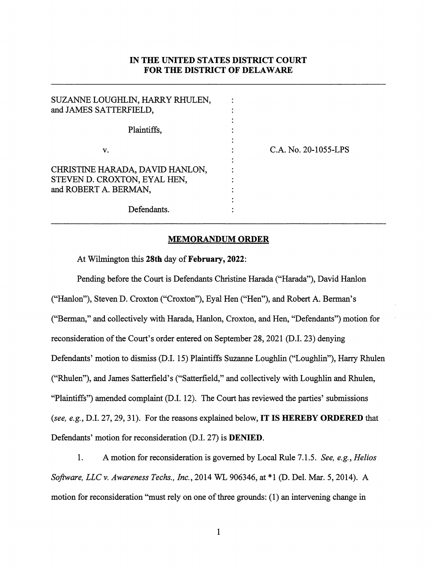## IN THE UNITED STATES DISTRICT COURT FOR THE DISTRICT OF DELAWARE

| SUZANNE LOUGHLIN, HARRY RHULEN, |                      |
|---------------------------------|----------------------|
| and JAMES SATTERFIELD,          |                      |
|                                 |                      |
| Plaintiffs,                     |                      |
|                                 |                      |
| v.                              | C.A. No. 20-1055-LPS |
|                                 |                      |
| CHRISTINE HARADA, DAVID HANLON, |                      |
| STEVEN D. CROXTON, EYAL HEN,    |                      |
| and ROBERT A. BERMAN,           |                      |
|                                 |                      |
| Defendants.                     |                      |
|                                 |                      |

## MEMORANDUM ORDER

At Wilmington this 28th day of February, 2022;

Pending before the Court is Defendants Christine Harada ("Harada"), David Hanlon ("Hanlon"), Steven D. Croxton ("Croxton"), Eyal Hen ("Hen"), and Robert A. Herman's ("Herman," and collectively with Harada, Hanlon, Croxton, and Hen, "Defendants") motion for reconsideration of the Court's order entered on September 28,2021 (D.I. 23) denying Defendants' motion to dismiss (D.I. 15) Plaintiffs Suzanne Loughlin ("Loughlin"), Harry Rhulen ("Rhulen"), and James Satterfield's ("Satterfield," and collectively with Loughlin and Rhulen, "Plaintiffs") amended complaint (D.I. 12). The Court has reviewed the parties' submissions (see, e.g., D.I. 27, 29, 31). For the reasons explained below, **IT IS HEREBY ORDERED** that Defendants' motion for reconsideration (D.I. 27) is DENIED.

1. A motion for reconsideration is govemed by Local Rule 7.1.5. See, e.g., Helios Software, LLC v. Awareness Techs., Inc., 2014 WL 906346, at \*1 (D. Del. Mar. 5, 2014). A motion for reconsideration "must rely on one of three grounds: (1) an intervening change in

1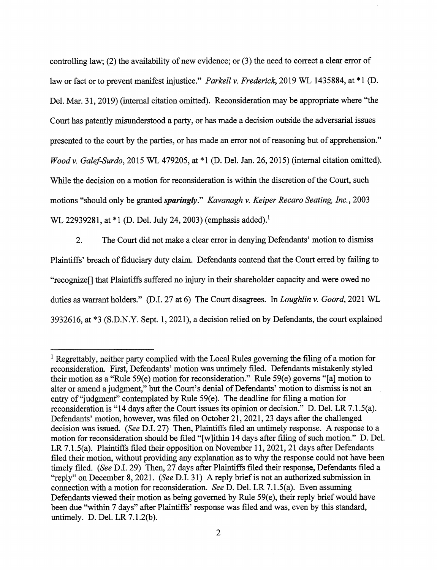controlling law; (2) the availability of new evidence; or (3) the need to correct a clear error of law or fact or to prevent manifest injustice." Parkell v. Frederick, 2019 WL 1435884, at \*1 (D. Del. Mar. 31, 2019) (internal citation omitted). Reconsideration may be appropriate where "the Court has patently misimderstood a party, or has made a decision outside the adversarial issues presented to the court by the parties, or has made an error not of reasoning but of apprehension." Wood V. Galef-Surdo, 2015 WL 479205, at \*1 (D. Del. Jan. 26,2015) (internal citation omitted). While the decision on a motion for reconsideration is within the discretion of the Court, such motions "should only be granted **sparingly**." Kavanagh v. Keiper Recaro Seating, Inc., 2003 WL 22939281, at \*1 (D. Del. July 24, 2003) (emphasis added).<sup>1</sup>

2. The Court did not make a clear error in denying Defendants' motion to dismiss Plaintiffs' breach of fiduciary duty claim. Defendants contend that the Court erred by failing to "recognize[] that Plaintiffs suffered no injury in their shareholder capacity and were owed no duties as warrant holders." (D.I. 27 at 6) The Court disagrees. In Loughlin v. Goord, 2021 WL 3932616, at \*3 (S.D.N.Y. Sept. 1,2021), a decision relied on by Defendants, the court explained

<sup>&</sup>lt;sup>1</sup> Regrettably, neither party complied with the Local Rules governing the filing of a motion for reconsideration. First, Defendants' motion was untimely filed. Defendants mistakenly styled their motion as a "Rule 59(e) motion for reconsideration." Rule 59(e) governs "[a] motion to alter or amend a judgment," but the Court's denial of Defendants' motion to dismiss is not an entry of "judgment" contemplated by Rule 59(e). The deadline for filing a motion for reconsideration is "14 days after the Court issues its opinion or decision." D. Del. LR 7.1.5(a). Defendants' motion, however, was filed on October 21, 2021, 23 days after the challenged decision was issued. (See D.I. 27) Then, Plaintiffs filed an untimely response. A response to a motion for reconsideration should be filed "[wjithin 14 days after filing of such motion." D. Del. LR 7.1.5(a). Plaintiffs filed their opposition on November 11, 2021, 21 days after Defendants filed their motion, without providing any explanation as to why the response could not have been timely filed. (See D.I. 29) Then, 27 days after Plaintiffs filed their response, Defendants filed a "reply" on December 8, 2021. (See D.I. 31) A reply brief is not an authorized submission in connection with a motion for reconsideration. See D. Del. LR 7.1.5(a). Even assuming Defendants viewed their motion as being governed by Rule  $59(e)$ , their reply brief would have been due "within 7 days" after Plaintiffs' response was filed and was, even by this standard, untimely. D. Del. LR 7.1.2(b).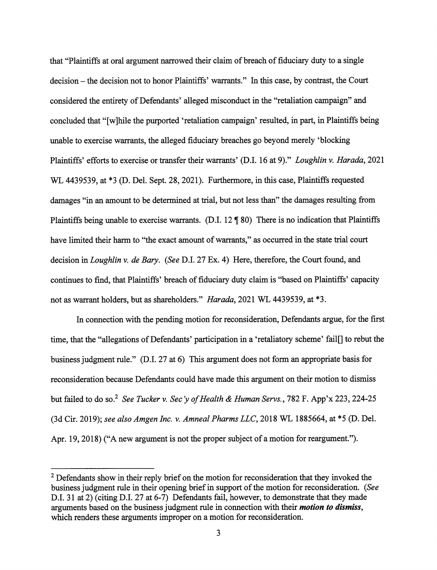that "Plaintiffs at oral argument narrowed their claim of breach of fiduciary duty to a single decision - the decision not to honor Plaintiffs' warrants." In this case, by contrast, the Court considered the entirety of Defendants' alleged misconduct in the "retaliation campaign" and concluded that "[w]hile the purported 'retaliation campaign' resulted, in part, in Plaintiffs being unable to exercise warrants, the alleged fiduciary breaches go beyond merely 'blocking Plaintiffs' efforts to exercise or transfer their warrants' (D.I. 16 at 9)." Loughlin v. Harada, 2021 WL 4439539, at \*3 (D. Del. Sept. 28, 2021). Furthermore, in this case, Plaintiffs requested damages "in an amount to be determined at trial, but not less than" the damages resulting from Plaintiffs being unable to exercise warrants. (D.I.  $12 \text{ } \text{\textsterling} 80$ ) There is no indication that Plaintiffs have limited their harm to "the exact amount of warrants," as occurred in the state trial court decision in *Loughlin v. de Bary.* (See D.I. 27 Ex. 4) Here, therefore, the Court found, and continues to find, that Plaintiffs' breach of fiduciary duty claim is "based on Plaintiffs' capacity not as warrant holders, but as shareholders." Harada, 2021 WL 4439539, at \*3.

In connection with the pending motion for reconsideration. Defendants argue, for the first time, that the "allegations of Defendants' participation in a 'retaliatory scheme' fail[] to rebut the business judgment rule." (D.I. 27 at 6) This argument does not form an appropriate basis for reconsideration because Defendants could have made this argument on their motion to dismiss but failed to do so.<sup>2</sup> See Tucker v. Sec 'y of Health & Human Servs., 782 F. App'x 223, 224-25 (3d Cir. 2019); see also Amgen Inc. v. Amneal Pharms LLC, 2018 WL 1885664, at \*5 (D. Del. Apr. 19,2018) ("A new argument is not the proper subject of a motion for reargument.").

 $2$  Defendants show in their reply brief on the motion for reconsideration that they invoked the business judgment rule in their opening brief in support of the motion for reconsideration. (See D.I. 31 at 2) (citing D.I. 27 at 6-7) Defendants fail, however, to demonstrate that they made arguments based on the business judgment rule in connection with their *motion to dismiss*, which renders these arguments improper on a motion for reconsideration.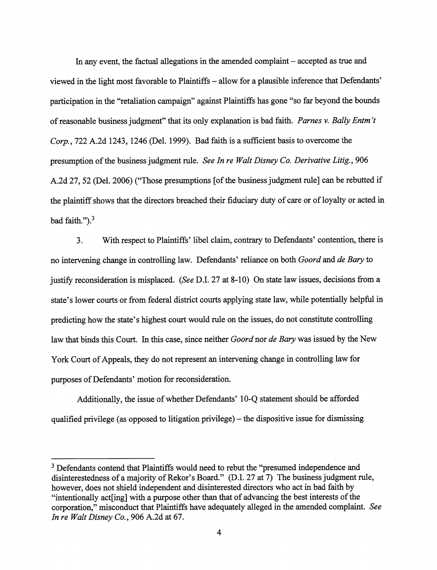In any event, the factual allegations in the amended complaint - accepted as true and viewed in the light most favorable to Plaintiffs – allow for a plausible inference that Defendants' participation in the "retaliation campaign" against Plaintiffs has gone "so far beyond the bounds of reasonable business judgment" that its only explanation is bad faith. Parnes v. Bally Entm't Corp., 722 A.2d 1243, 1246 (Del. 1999). Bad faith is a sufficient basis to overcome the presumption of the business judgment rule. See In re Walt Disney Co. Derivative Litig., 906 A.2d 27,52 (Del. 2006) ("Those presumptions [of the business judgment rule] can be rebutted if the plaintiff shows that the directors breached their fiduciary duty of care or of loyalty or acted in bad faith." $)^3$ 

3. With respect to Plaintiffs' libel claim, contrary to Defendants' contention, there is no intervening change in controlling law. Defendants' reliance on both *Goord* and de Bary to justify reconsideration is misplaced. (See D.I. 27 at 8-10) On state law issues, decisions from a state's lower courts or from federal district courts applying state law, while potentially helpful in predicting how the state's highest court would rule on the issues, do not constitute controlling law that binds this Court. In this case, since neither *Goord* nor *de Bary* was issued by the New York Court of Appeals, they do not represent an intervening change in controlling law for purposes of Defendants' motion for reconsideration.

Additionally, the issue of whether Defendants' 10-Q statement should be afforded qualified privilege (as opposed to litigation privilege)  $-$  the dispositive issue for dismissing

<sup>&</sup>lt;sup>3</sup> Defendants contend that Plaintiffs would need to rebut the "presumed independence and disinterestedness of a majority of Rekor's Board." (D.l. 27 at 7) The business judgment rule, however, does not shield independent and disinterested directors who act in bad faith by "intentionally act[ing] with a purpose other than that of advancing the best interests of the corporation," misconduct that Plaintiffs have adequately alleged in the amended complaint. See In re Walt Disney Co., 906 A.2d at 67.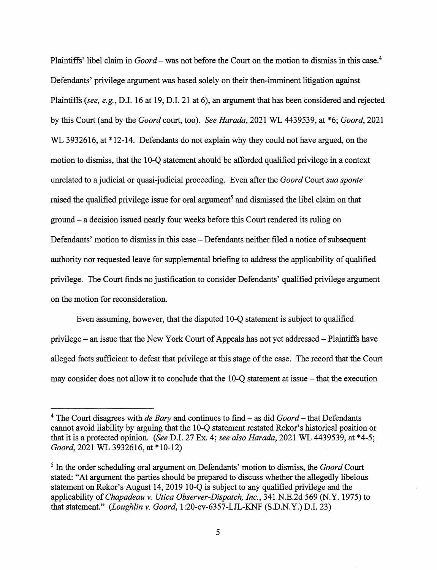Plaintiffs' libel claim in  $Good$  - was not before the Court on the motion to dismiss in this case.<sup>4</sup> Defendants' privilege argument was based solely on their then-imminent litigation against Plaintiffs (see, e.g., D.I. 16 at 19, D.I. 21 at 6), an argument that has been considered and rejected by this Court (and by the Goord court, too). See Harada, 2021 WL 4439539, at \*6; Goord, 2021 WL 3932616, at \*12-14. Defendants do not explain why they could not have argued, on the motion to dismiss, that the 10-Q statement should be afforded qualified privilege in a context unrelated to a judicial or quasi-judicial proceeding. Even after the *Goord* Court sua sponte raised the qualified privilege issue for oral argument<sup>5</sup> and dismissed the libel claim on that ground - a decision issued nearly fom weeks before this Court rendered its ruling on Defendants' motion to dismiss in this case – Defendants neither filed a notice of subsequent authority nor requested leave for supplemental briefing to address the applicability of qualified privilege. The Court finds no justification to consider Defendants' qualified privilege argument on the motion for reconsideration.

Even assuming, however, that the disputed 10-Q statement is subject to qualified privilege - an issue that the New York Court of Appeals has not yet addressed - Plaintiffs have alleged facts sufficient to defeat that privilege at this stage of the case. The record that the Court may consider does not allow it to conclude that the 10-Q statement at issue - that the execution

<sup>&</sup>lt;sup>4</sup> The Court disagrees with *de Bary* and continues to find  $-$  as did *Goord*  $-$  that Defendants cannot avoid liability by arguing that the 10-Q statement restated Rekor's historical position or that it is a protected opinion. (See D.I. 27 Ex. 4; see also Harada, 2021 WL 4439539, at \*4-5; Goord, 2021 WL 3932616, at \*10-12)

 $<sup>5</sup>$  In the order scheduling oral argument on Defendants' motion to dismiss, the *Goord* Court</sup> stated: "At argument the parties should be prepared to discuss whether the allegedly libelous statement on Rekor's August 14,2019 10-Q is subject to any qualified privilege and the applicability of Chapadeau v. Utica Observer-Dispatch, Inc., 341 N.E.2d 569 (N.Y. 1975) to that statement." (Loughlin v. Goord, 1:20-cv-6357-LJL-KNF (S.D.N.Y.) D.I. 23)